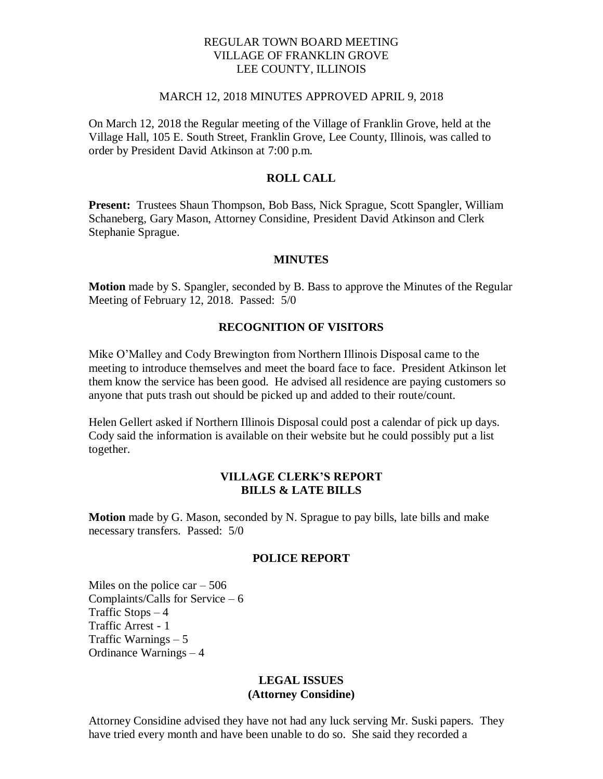## REGULAR TOWN BOARD MEETING VILLAGE OF FRANKLIN GROVE LEE COUNTY, ILLINOIS

#### MARCH 12, 2018 MINUTES APPROVED APRIL 9, 2018

On March 12, 2018 the Regular meeting of the Village of Franklin Grove, held at the Village Hall, 105 E. South Street, Franklin Grove, Lee County, Illinois, was called to order by President David Atkinson at 7:00 p.m.

# **ROLL CALL**

**Present:** Trustees Shaun Thompson, Bob Bass, Nick Sprague, Scott Spangler, William Schaneberg, Gary Mason, Attorney Considine, President David Atkinson and Clerk Stephanie Sprague.

#### **MINUTES**

**Motion** made by S. Spangler, seconded by B. Bass to approve the Minutes of the Regular Meeting of February 12, 2018. Passed: 5/0

### **RECOGNITION OF VISITORS**

Mike O'Malley and Cody Brewington from Northern Illinois Disposal came to the meeting to introduce themselves and meet the board face to face. President Atkinson let them know the service has been good. He advised all residence are paying customers so anyone that puts trash out should be picked up and added to their route/count.

Helen Gellert asked if Northern Illinois Disposal could post a calendar of pick up days. Cody said the information is available on their website but he could possibly put a list together.

### **VILLAGE CLERK'S REPORT BILLS & LATE BILLS**

**Motion** made by G. Mason, seconded by N. Sprague to pay bills, late bills and make necessary transfers. Passed: 5/0

#### **POLICE REPORT**

Miles on the police car  $-506$ Complaints/Calls for Service – 6 Traffic Stops  $-4$ Traffic Arrest - 1 Traffic Warnings – 5 Ordinance Warnings – 4

### **LEGAL ISSUES (Attorney Considine)**

Attorney Considine advised they have not had any luck serving Mr. Suski papers. They have tried every month and have been unable to do so. She said they recorded a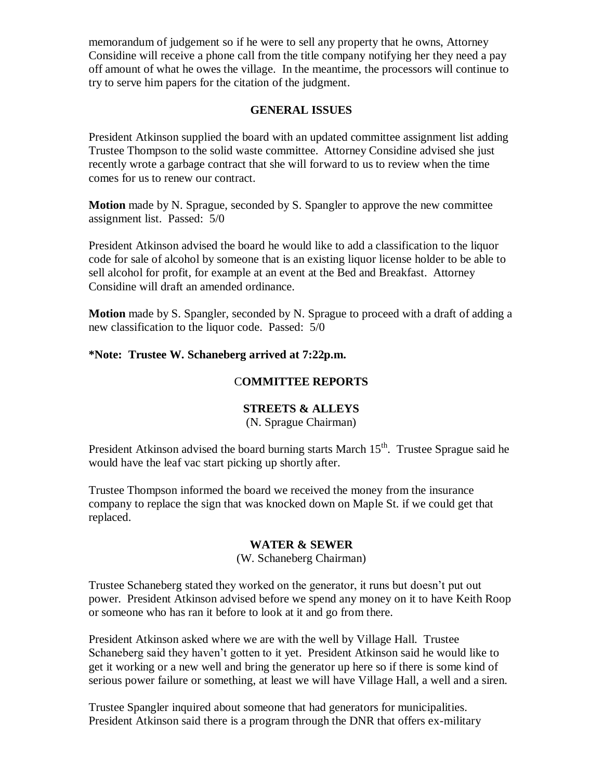memorandum of judgement so if he were to sell any property that he owns, Attorney Considine will receive a phone call from the title company notifying her they need a pay off amount of what he owes the village. In the meantime, the processors will continue to try to serve him papers for the citation of the judgment.

## **GENERAL ISSUES**

President Atkinson supplied the board with an updated committee assignment list adding Trustee Thompson to the solid waste committee. Attorney Considine advised she just recently wrote a garbage contract that she will forward to us to review when the time comes for us to renew our contract.

**Motion** made by N. Sprague, seconded by S. Spangler to approve the new committee assignment list. Passed: 5/0

President Atkinson advised the board he would like to add a classification to the liquor code for sale of alcohol by someone that is an existing liquor license holder to be able to sell alcohol for profit, for example at an event at the Bed and Breakfast. Attorney Considine will draft an amended ordinance.

**Motion** made by S. Spangler, seconded by N. Sprague to proceed with a draft of adding a new classification to the liquor code. Passed: 5/0

### **\*Note: Trustee W. Schaneberg arrived at 7:22p.m.**

# C**OMMITTEE REPORTS**

# **STREETS & ALLEYS**

(N. Sprague Chairman)

President Atkinson advised the board burning starts March  $15<sup>th</sup>$ . Trustee Sprague said he would have the leaf vac start picking up shortly after.

Trustee Thompson informed the board we received the money from the insurance company to replace the sign that was knocked down on Maple St. if we could get that replaced.

#### **WATER & SEWER**

(W. Schaneberg Chairman)

Trustee Schaneberg stated they worked on the generator, it runs but doesn't put out power. President Atkinson advised before we spend any money on it to have Keith Roop or someone who has ran it before to look at it and go from there.

President Atkinson asked where we are with the well by Village Hall. Trustee Schaneberg said they haven't gotten to it yet. President Atkinson said he would like to get it working or a new well and bring the generator up here so if there is some kind of serious power failure or something, at least we will have Village Hall, a well and a siren.

Trustee Spangler inquired about someone that had generators for municipalities. President Atkinson said there is a program through the DNR that offers ex-military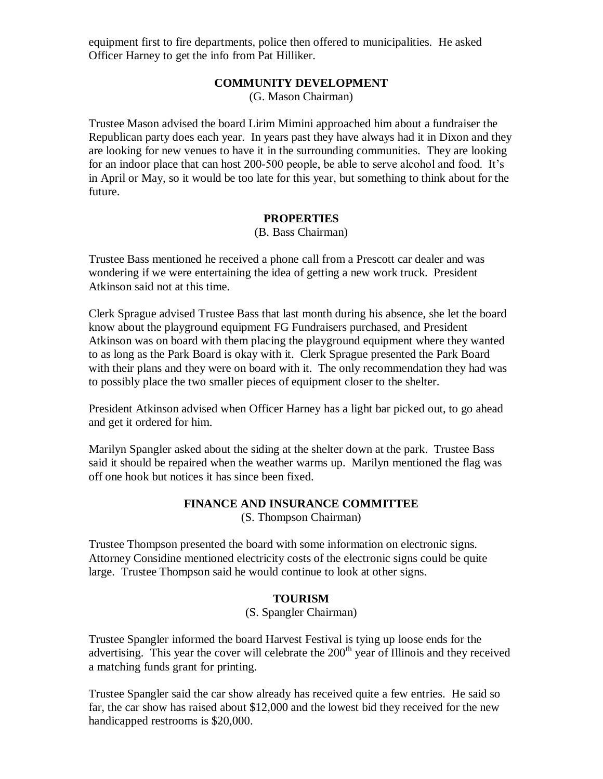equipment first to fire departments, police then offered to municipalities. He asked Officer Harney to get the info from Pat Hilliker.

# **COMMUNITY DEVELOPMENT**

(G. Mason Chairman)

Trustee Mason advised the board Lirim Mimini approached him about a fundraiser the Republican party does each year. In years past they have always had it in Dixon and they are looking for new venues to have it in the surrounding communities. They are looking for an indoor place that can host 200-500 people, be able to serve alcohol and food. It's in April or May, so it would be too late for this year, but something to think about for the future.

### **PROPERTIES**

(B. Bass Chairman)

Trustee Bass mentioned he received a phone call from a Prescott car dealer and was wondering if we were entertaining the idea of getting a new work truck. President Atkinson said not at this time.

Clerk Sprague advised Trustee Bass that last month during his absence, she let the board know about the playground equipment FG Fundraisers purchased, and President Atkinson was on board with them placing the playground equipment where they wanted to as long as the Park Board is okay with it. Clerk Sprague presented the Park Board with their plans and they were on board with it. The only recommendation they had was to possibly place the two smaller pieces of equipment closer to the shelter.

President Atkinson advised when Officer Harney has a light bar picked out, to go ahead and get it ordered for him.

Marilyn Spangler asked about the siding at the shelter down at the park. Trustee Bass said it should be repaired when the weather warms up. Marilyn mentioned the flag was off one hook but notices it has since been fixed.

# **FINANCE AND INSURANCE COMMITTEE**

(S. Thompson Chairman)

Trustee Thompson presented the board with some information on electronic signs. Attorney Considine mentioned electricity costs of the electronic signs could be quite large. Trustee Thompson said he would continue to look at other signs.

# **TOURISM**

(S. Spangler Chairman)

Trustee Spangler informed the board Harvest Festival is tying up loose ends for the advertising. This year the cover will celebrate the 200<sup>th</sup> year of Illinois and they received a matching funds grant for printing.

Trustee Spangler said the car show already has received quite a few entries. He said so far, the car show has raised about \$12,000 and the lowest bid they received for the new handicapped restrooms is \$20,000.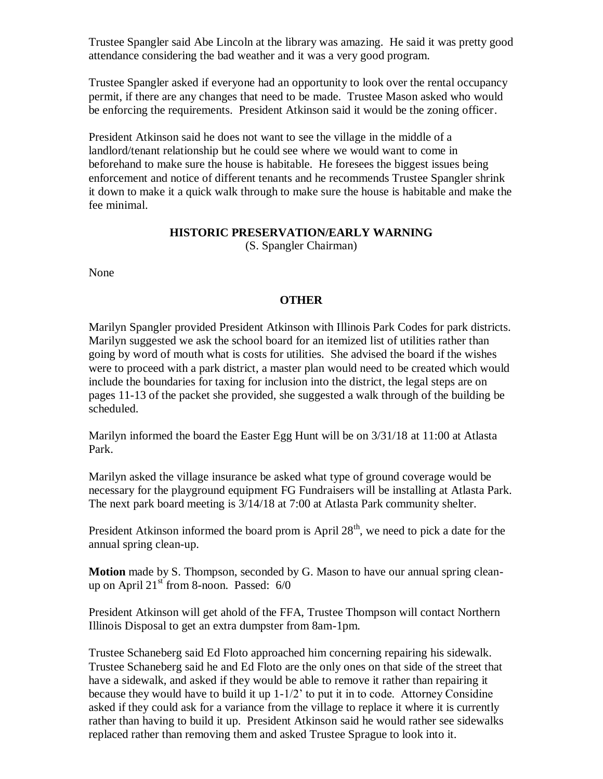Trustee Spangler said Abe Lincoln at the library was amazing. He said it was pretty good attendance considering the bad weather and it was a very good program.

Trustee Spangler asked if everyone had an opportunity to look over the rental occupancy permit, if there are any changes that need to be made. Trustee Mason asked who would be enforcing the requirements. President Atkinson said it would be the zoning officer.

President Atkinson said he does not want to see the village in the middle of a landlord/tenant relationship but he could see where we would want to come in beforehand to make sure the house is habitable. He foresees the biggest issues being enforcement and notice of different tenants and he recommends Trustee Spangler shrink it down to make it a quick walk through to make sure the house is habitable and make the fee minimal.

#### **HISTORIC PRESERVATION/EARLY WARNING** (S. Spangler Chairman)

None

# **OTHER**

Marilyn Spangler provided President Atkinson with Illinois Park Codes for park districts. Marilyn suggested we ask the school board for an itemized list of utilities rather than going by word of mouth what is costs for utilities. She advised the board if the wishes were to proceed with a park district, a master plan would need to be created which would include the boundaries for taxing for inclusion into the district, the legal steps are on pages 11-13 of the packet she provided, she suggested a walk through of the building be scheduled.

Marilyn informed the board the Easter Egg Hunt will be on 3/31/18 at 11:00 at Atlasta Park.

Marilyn asked the village insurance be asked what type of ground coverage would be necessary for the playground equipment FG Fundraisers will be installing at Atlasta Park. The next park board meeting is 3/14/18 at 7:00 at Atlasta Park community shelter.

President Atkinson informed the board prom is April  $28<sup>th</sup>$ , we need to pick a date for the annual spring clean-up.

**Motion** made by S. Thompson, seconded by G. Mason to have our annual spring cleanup on April  $21^{st}$  from 8-noon. Passed: 6/0

President Atkinson will get ahold of the FFA, Trustee Thompson will contact Northern Illinois Disposal to get an extra dumpster from 8am-1pm.

Trustee Schaneberg said Ed Floto approached him concerning repairing his sidewalk. Trustee Schaneberg said he and Ed Floto are the only ones on that side of the street that have a sidewalk, and asked if they would be able to remove it rather than repairing it because they would have to build it up 1-1/2' to put it in to code. Attorney Considine asked if they could ask for a variance from the village to replace it where it is currently rather than having to build it up. President Atkinson said he would rather see sidewalks replaced rather than removing them and asked Trustee Sprague to look into it.